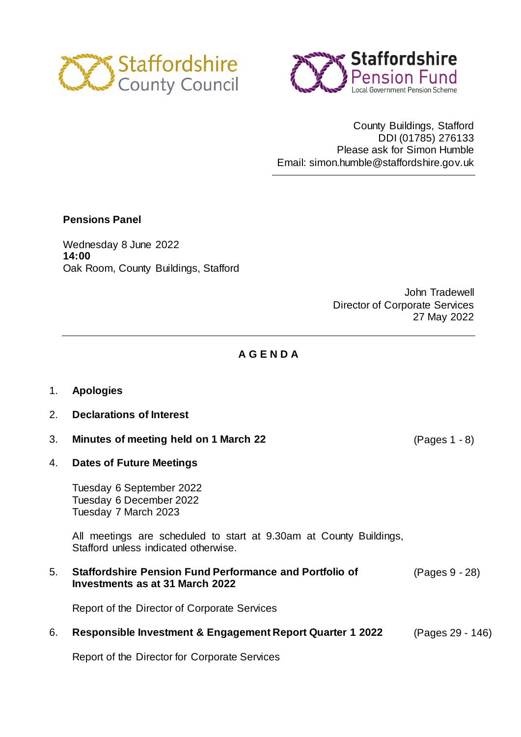



County Buildings, Stafford DDI (01785) 276133 Please ask for Simon Humble Email: simon.humble@staffordshire.gov.uk

## **Pensions Panel**

Wednesday 8 June 2022 **14:00** Oak Room, County Buildings, Stafford

> John Tradewell Director of Corporate Services 27 May 2022

## **A G E N D A**

- 1. **Apologies**
- 2. **Declarations of Interest**
- 3. **Minutes of meeting held on 1 March 22** (Pages 1 8)
- 4. **Dates of Future Meetings**

Tuesday 6 September 2022 Tuesday 6 December 2022 Tuesday 7 March 2023

All meetings are scheduled to start at 9.30am at County Buildings, Stafford unless indicated otherwise.

5. **Staffordshire Pension Fund Performance and Portfolio of Investments as at 31 March 2022** (Pages 9 - 28)

Report of the Director of Corporate Services

#### 6. **Responsible Investment & Engagement Report Quarter 1 2022** (Pages 29 - 146)

Report of the Director for Corporate Services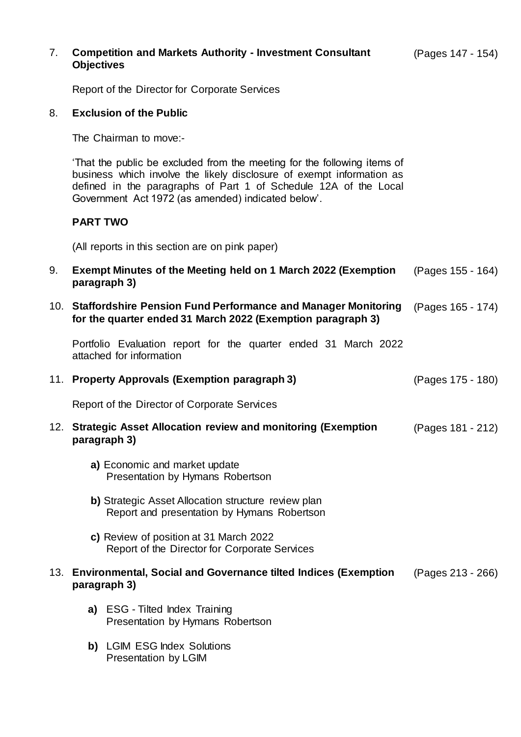| 7. | <b>Competition and Markets Authority - Investment Consultant</b><br><b>Objectives</b>                                                                                                                                                                                      | (Pages 147 - 154) |
|----|----------------------------------------------------------------------------------------------------------------------------------------------------------------------------------------------------------------------------------------------------------------------------|-------------------|
|    | Report of the Director for Corporate Services                                                                                                                                                                                                                              |                   |
| 8. | <b>Exclusion of the Public</b>                                                                                                                                                                                                                                             |                   |
|    | The Chairman to move:-                                                                                                                                                                                                                                                     |                   |
|    | That the public be excluded from the meeting for the following items of<br>business which involve the likely disclosure of exempt information as<br>defined in the paragraphs of Part 1 of Schedule 12A of the Local<br>Government Act 1972 (as amended) indicated below'. |                   |
|    | <b>PART TWO</b>                                                                                                                                                                                                                                                            |                   |
|    | (All reports in this section are on pink paper)                                                                                                                                                                                                                            |                   |
| 9. | Exempt Minutes of the Meeting held on 1 March 2022 (Exemption<br>paragraph 3)                                                                                                                                                                                              | (Pages 155 - 164) |
|    | 10. Staffordshire Pension Fund Performance and Manager Monitoring<br>for the quarter ended 31 March 2022 (Exemption paragraph 3)                                                                                                                                           | (Pages 165 - 174) |
|    | Portfolio Evaluation report for the quarter ended 31 March 2022<br>attached for information                                                                                                                                                                                |                   |
|    | 11. Property Approvals (Exemption paragraph 3)                                                                                                                                                                                                                             | (Pages 175 - 180) |
|    | Report of the Director of Corporate Services                                                                                                                                                                                                                               |                   |
|    | 12. Strategic Asset Allocation review and monitoring (Exemption<br>paragraph 3)                                                                                                                                                                                            | (Pages 181 - 212) |
|    | a) Economic and market update<br>Presentation by Hymans Robertson                                                                                                                                                                                                          |                   |
|    | b) Strategic Asset Allocation structure review plan<br>Report and presentation by Hymans Robertson                                                                                                                                                                         |                   |
|    | c) Review of position at 31 March 2022<br>Report of the Director for Corporate Services                                                                                                                                                                                    |                   |
|    | 13. Environmental, Social and Governance tilted Indices (Exemption<br>paragraph 3)                                                                                                                                                                                         | (Pages 213 - 266) |
|    | a) ESG - Tilted Index Training                                                                                                                                                                                                                                             |                   |

Presentation by Hymans Robertson

**b)** LGIM ESG Index Solutions Presentation by LGIM